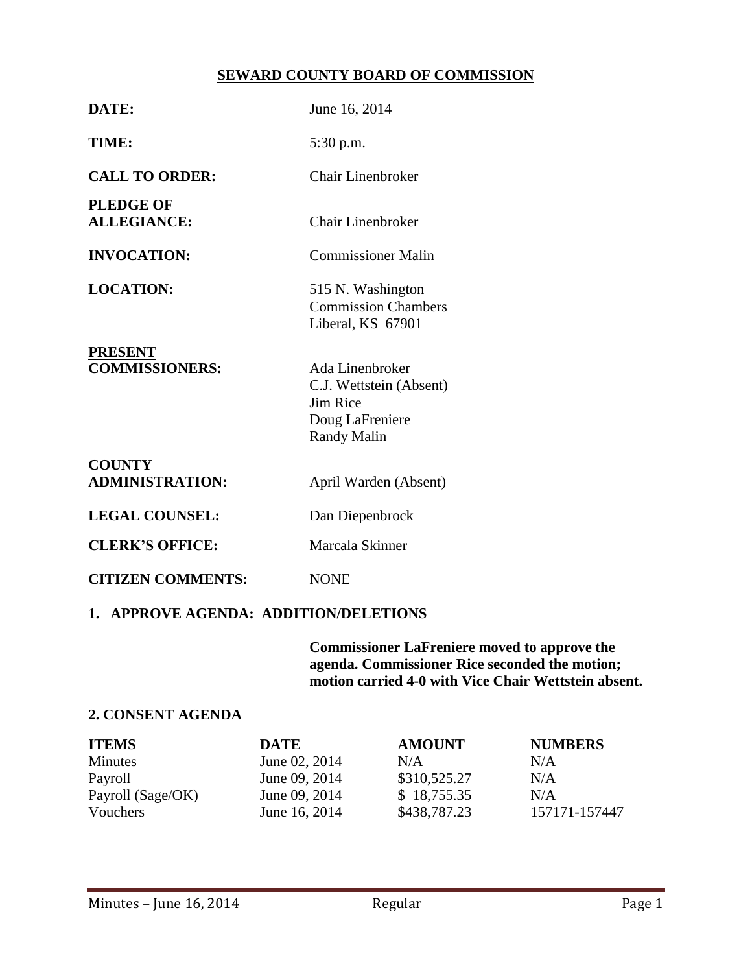## **SEWARD COUNTY BOARD OF COMMISSION**

| DATE:                                   | June 16, 2014                                                                            |  |  |  |
|-----------------------------------------|------------------------------------------------------------------------------------------|--|--|--|
| TIME:                                   | 5:30 p.m.                                                                                |  |  |  |
| <b>CALL TO ORDER:</b>                   | Chair Linenbroker                                                                        |  |  |  |
| <b>PLEDGE OF</b><br><b>ALLEGIANCE:</b>  | <b>Chair Linenbroker</b>                                                                 |  |  |  |
| <b>INVOCATION:</b>                      | <b>Commissioner Malin</b>                                                                |  |  |  |
| <b>LOCATION:</b>                        | 515 N. Washington<br><b>Commission Chambers</b><br>Liberal, KS 67901                     |  |  |  |
| <b>PRESENT</b><br><b>COMMISSIONERS:</b> | Ada Linenbroker<br>C.J. Wettstein (Absent)<br>Jim Rice<br>Doug LaFreniere<br>Randy Malin |  |  |  |
| <b>COUNTY</b><br><b>ADMINISTRATION:</b> | April Warden (Absent)                                                                    |  |  |  |
| <b>LEGAL COUNSEL:</b>                   | Dan Diepenbrock                                                                          |  |  |  |
| <b>CLERK'S OFFICE:</b>                  | Marcala Skinner                                                                          |  |  |  |
| <b>CITIZEN COMMENTS:</b>                | <b>NONE</b>                                                                              |  |  |  |
| 1. APPROVE AGENDA: ADDITION/DELETIONS   |                                                                                          |  |  |  |

**Commissioner LaFreniere moved to approve the agenda. Commissioner Rice seconded the motion; motion carried 4-0 with Vice Chair Wettstein absent.**

#### **2. CONSENT AGENDA**

| <b>ITEMS</b>      | <b>DATE</b>   | <b>AMOUNT</b> | <b>NUMBERS</b> |
|-------------------|---------------|---------------|----------------|
| <b>Minutes</b>    | June 02, 2014 | N/A           | N/A            |
| Payroll           | June 09, 2014 | \$310,525.27  | N/A            |
| Payroll (Sage/OK) | June 09, 2014 | \$18,755.35   | N/A            |
| Vouchers          | June 16, 2014 | \$438,787.23  | 157171-157447  |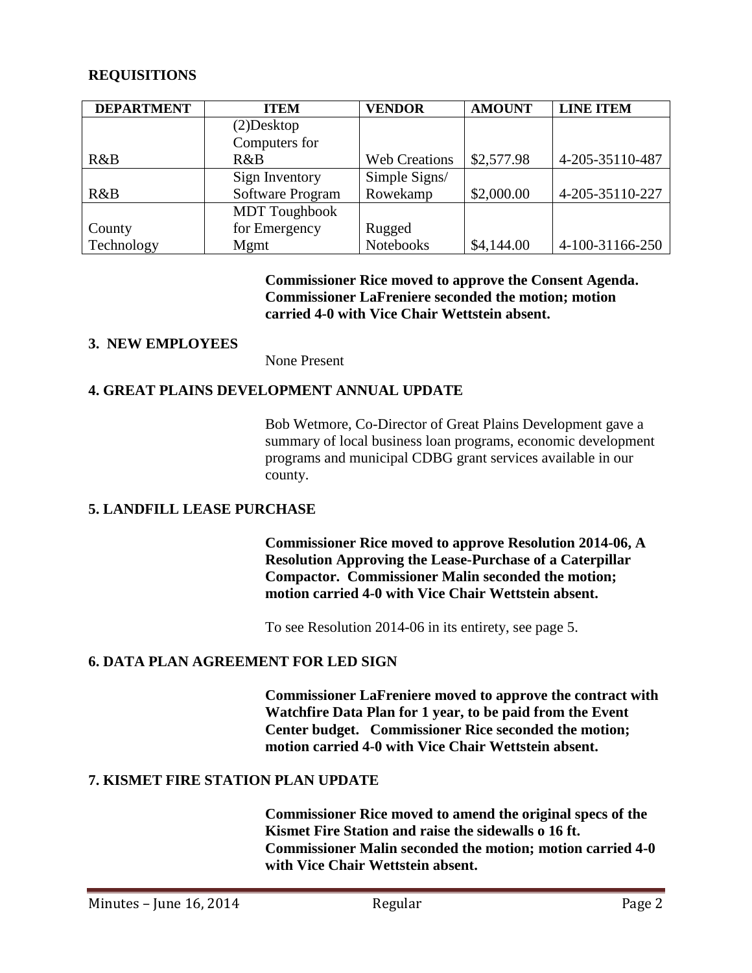## **REQUISITIONS**

| <b>DEPARTMENT</b> | <b>ITEM</b>          | <b>VENDOR</b>        | <b>AMOUNT</b> | <b>LINE ITEM</b> |
|-------------------|----------------------|----------------------|---------------|------------------|
|                   | $(2)$ Desktop        |                      |               |                  |
|                   | Computers for        |                      |               |                  |
| R&B               | R&B                  | <b>Web Creations</b> | \$2,577.98    | 4-205-35110-487  |
|                   | Sign Inventory       | Simple Signs/        |               |                  |
| R&B               | Software Program     | Rowekamp             | \$2,000.00    | 4-205-35110-227  |
|                   | <b>MDT</b> Toughbook |                      |               |                  |
| County            | for Emergency        | Rugged               |               |                  |
| Technology        | Mgmt                 | Notebooks            | \$4,144.00    | 4-100-31166-250  |

**Commissioner Rice moved to approve the Consent Agenda. Commissioner LaFreniere seconded the motion; motion carried 4-0 with Vice Chair Wettstein absent.**

## **3. NEW EMPLOYEES**

None Present

## **4. GREAT PLAINS DEVELOPMENT ANNUAL UPDATE**

Bob Wetmore, Co-Director of Great Plains Development gave a summary of local business loan programs, economic development programs and municipal CDBG grant services available in our county.

## **5. LANDFILL LEASE PURCHASE**

**Commissioner Rice moved to approve Resolution 2014-06, A Resolution Approving the Lease-Purchase of a Caterpillar Compactor. Commissioner Malin seconded the motion; motion carried 4-0 with Vice Chair Wettstein absent.**

To see Resolution 2014-06 in its entirety, see page 5.

## **6. DATA PLAN AGREEMENT FOR LED SIGN**

**Commissioner LaFreniere moved to approve the contract with Watchfire Data Plan for 1 year, to be paid from the Event Center budget. Commissioner Rice seconded the motion; motion carried 4-0 with Vice Chair Wettstein absent.**

## **7. KISMET FIRE STATION PLAN UPDATE**

**Commissioner Rice moved to amend the original specs of the Kismet Fire Station and raise the sidewalls o 16 ft. Commissioner Malin seconded the motion; motion carried 4-0 with Vice Chair Wettstein absent.**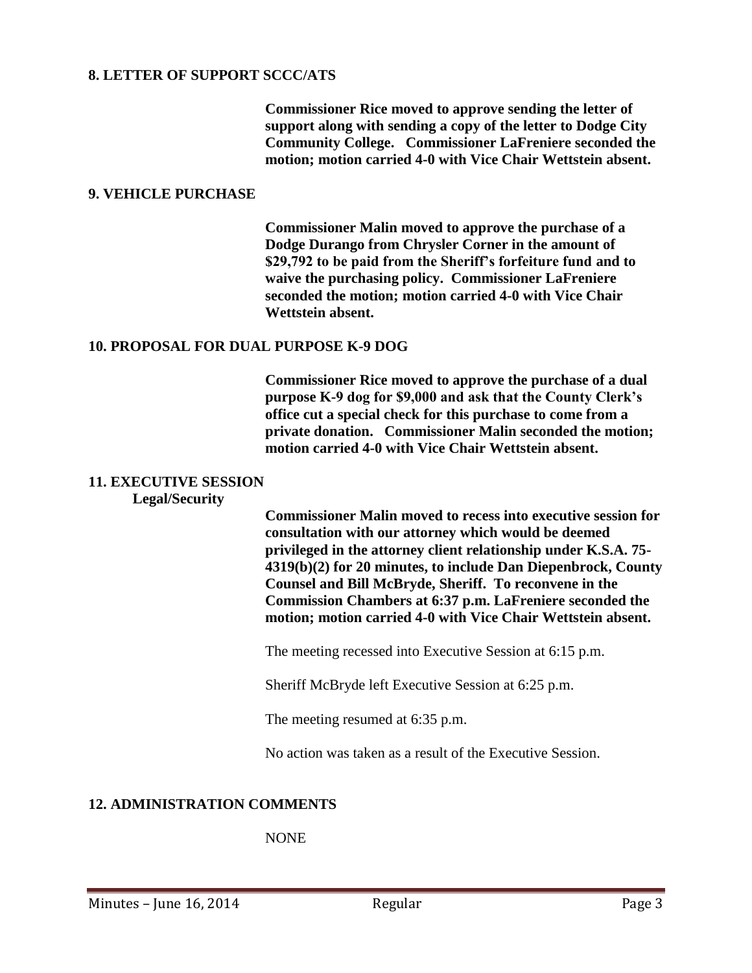## **8. LETTER OF SUPPORT SCCC/ATS**

**Commissioner Rice moved to approve sending the letter of support along with sending a copy of the letter to Dodge City Community College. Commissioner LaFreniere seconded the motion; motion carried 4-0 with Vice Chair Wettstein absent.**

#### **9. VEHICLE PURCHASE**

**Commissioner Malin moved to approve the purchase of a Dodge Durango from Chrysler Corner in the amount of \$29,792 to be paid from the Sheriff's forfeiture fund and to waive the purchasing policy. Commissioner LaFreniere seconded the motion; motion carried 4-0 with Vice Chair Wettstein absent.**

#### **10. PROPOSAL FOR DUAL PURPOSE K-9 DOG**

**Commissioner Rice moved to approve the purchase of a dual purpose K-9 dog for \$9,000 and ask that the County Clerk's office cut a special check for this purchase to come from a private donation. Commissioner Malin seconded the motion; motion carried 4-0 with Vice Chair Wettstein absent.**

#### **11. EXECUTIVE SESSION**

#### **Legal/Security**

**Commissioner Malin moved to recess into executive session for consultation with our attorney which would be deemed privileged in the attorney client relationship under K.S.A. 75- 4319(b)(2) for 20 minutes, to include Dan Diepenbrock, County Counsel and Bill McBryde, Sheriff. To reconvene in the Commission Chambers at 6:37 p.m. LaFreniere seconded the motion; motion carried 4-0 with Vice Chair Wettstein absent.**

The meeting recessed into Executive Session at 6:15 p.m.

Sheriff McBryde left Executive Session at 6:25 p.m.

The meeting resumed at 6:35 p.m.

No action was taken as a result of the Executive Session.

## **12. ADMINISTRATION COMMENTS**

NONE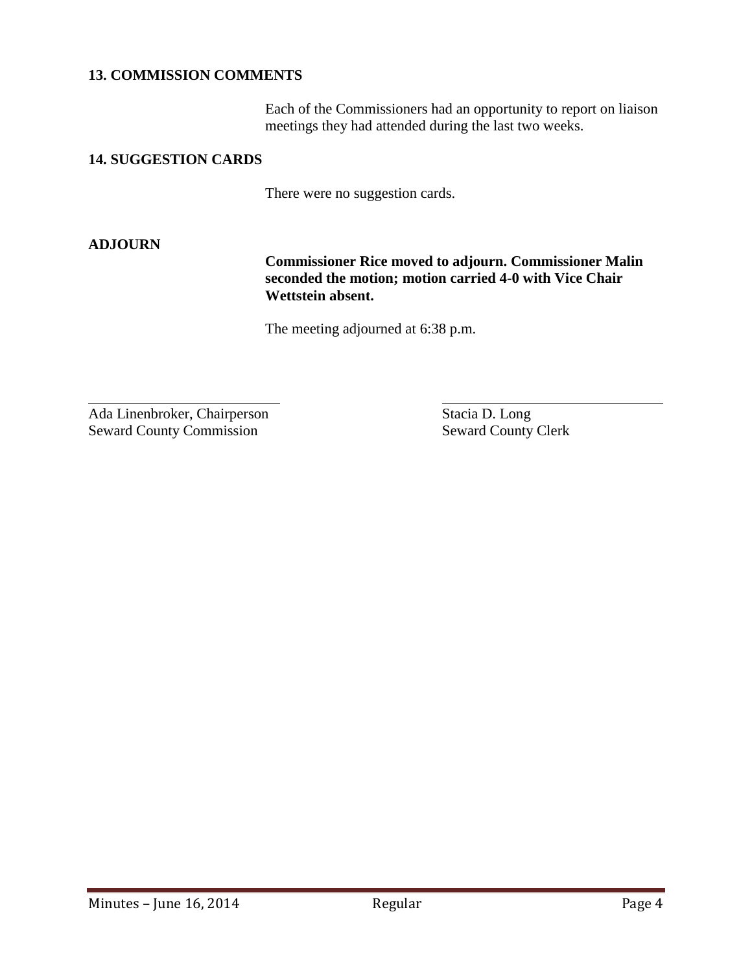## **13. COMMISSION COMMENTS**

Each of the Commissioners had an opportunity to report on liaison meetings they had attended during the last two weeks.

## **14. SUGGESTION CARDS**

There were no suggestion cards.

## **ADJOURN**

 $\overline{a}$ 

**Commissioner Rice moved to adjourn. Commissioner Malin seconded the motion; motion carried 4-0 with Vice Chair Wettstein absent.**

The meeting adjourned at 6:38 p.m.

Ada Linenbroker, Chairperson Stacia D. Long Seward County Commission Seward County Clerk